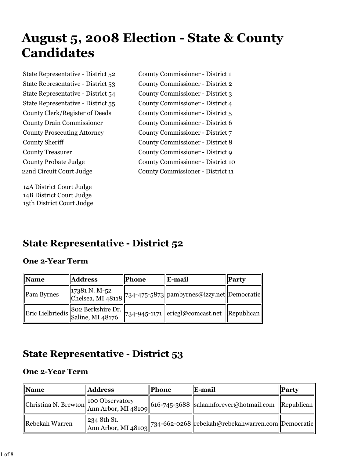# **August 5, 2008 Election - State & County Candidates**

14A District Court Judge 14B District Court Judge 15th District Court Judge

State Representative - District 52 County Commissioner - District 1 State Representative - District 53 County Commissioner - District 2 State Representative - District 54 County Commissioner - District 3 State Representative - District 55 County Commissioner - District 4 County Clerk/Register of Deeds County Commissioner - District 5 County Drain Commissioner County Commissioner - District 6 County Prosecuting Attorney County Commissioner - District 7 County Sheriff County Commissioner - District 8 County Treasurer County Commissioner - District 9 County Probate Judge County Commissioner - District 10 22nd Circuit Court Judge County Commissioner - District 11

## **State Representative - District 52**

#### **One 2-Year Term**

| <b>Name</b> | <b>Address</b> | Phone | E-mail                                                                                                                      | Party |
|-------------|----------------|-------|-----------------------------------------------------------------------------------------------------------------------------|-------|
| Pam Byrnes  |                |       | $\begin{array}{ l l }\n 17381 N. M-52\n \end{array}\n  2734-475-5873\n  2738 N. M148118\n  2734-475-5873\n  2739 N. M29318$ |       |
|             |                |       | Eric Lielbriedis 802 Berkshire Dr. 734-945-1171 ericgl@comcast.net Republican                                               |       |

### **State Representative - District 53**

| $\mathbf{\mathbf{Name}}$ | <b>Address</b> | <b>Phone</b> | E-mail                                                                              | $\ $ <b>Party</b> |
|--------------------------|----------------|--------------|-------------------------------------------------------------------------------------|-------------------|
|                          |                |              |                                                                                     |                   |
| Rebekah Warren           | 234 8th St.    |              | $\lim_{\Delta n}$ Arbor, MI 48103 734-662-0268 rebekah@rebekahwarren.com Democratic |                   |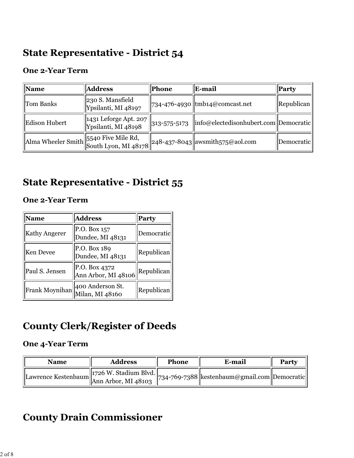### **State Representative - District 54**

#### **One 2-Year Term**

| Name          | <b>Address</b>                                                | <b>Phone</b> | E-mail                                                               | Party                      |
|---------------|---------------------------------------------------------------|--------------|----------------------------------------------------------------------|----------------------------|
| Tom Banks     | 230 S. Mansfield<br>Ypsilanti, MI 48197                       |              | 734-476-4930 tmb14@comcast.net                                       | $\vert$ Republican $\vert$ |
| Edison Hubert | $\vert$ 1431 Leforge Apt. 207<br>Ypsilanti, MI 48198          | 313-575-5173 | $\left\ $ info@electedisonhubert.com $\left\ $ Democratic $\right\ $ |                            |
|               | Alma Wheeler Smith 5540 Five Mile Rd,<br>South Lyon, MI 48178 |              | $\ 248-437-8043\ $ awsmith575@aol.com                                | <i><b>Democratic</b></i>   |

### **State Representative - District 55**

#### **One 2-Year Term**

| <b>Name</b>          | <b>Address</b>                       | <b>Party</b> |
|----------------------|--------------------------------------|--------------|
| <b>Kathy Angerer</b> | P.O. Box 157<br>Dundee, MI 48131     | Democratic   |
| <b>Ken Devee</b>     | P.O. Box 189<br>Dundee, MI 48131     | Republican   |
| Paul S. Jensen       | P.O. Box 4372<br>Ann Arbor, MI 48106 | Republican   |
| Frank Moynihan       | 400 Anderson St.<br>Milan, MI 48160  | Republican   |

### **County Clerk/Register of Deeds**

#### **One 4-Year Term**

| Name                                                                                                                    | <b>Address</b> | <b>Phone</b> | E-mail                                         | Party |
|-------------------------------------------------------------------------------------------------------------------------|----------------|--------------|------------------------------------------------|-------|
| Lawrence Kestenbaum $\begin{bmatrix} 1726 \text{ W.} \text{Stadium Blvd.} \\ \text{Ann Arbor, MI } 48103 \end{bmatrix}$ |                |              | 734-769-7388  kestenbaum@gmail.com  Democratic |       |

### **County Drain Commissioner**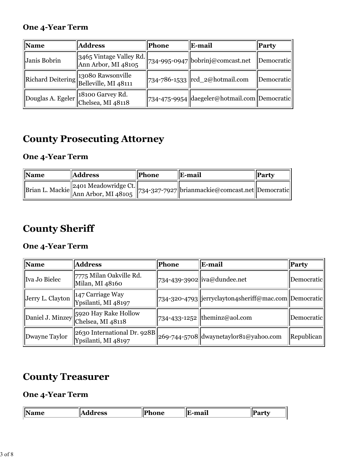#### **One 4-Year Term**

| <b>Name</b>  | <b>Address</b>                                                                              | Phone | E-mail                                                             | Party      |
|--------------|---------------------------------------------------------------------------------------------|-------|--------------------------------------------------------------------|------------|
| Janis Bobrin | $\frac{1}{3465}$ Vintage Valley Rd. 734-995-0947 bobrinj@comcast.net<br>Ann Arbor, MI 48105 |       |                                                                    | Democratic |
|              | Richard Deitering 13080 Rawsonville                                                         |       | $734 - 786 - 1533$ $\left  \text{rcd}_2\omega \right $ hotmail.com | Democratic |
|              | Douglas A. Egeler 18100 Garvey Rd.                                                          |       | 734-475-9954  daegeler@hotmail.com  Democratic                     |            |

## **County Prosecuting Attorney**

### **One 4-Year Term**

| <b>Name</b> | <b>Address</b> | <b>Phone</b> | <b>IE-mail</b>                                                                       | Party |
|-------------|----------------|--------------|--------------------------------------------------------------------------------------|-------|
|             |                |              | Brian L. Mackie 2401 Meadowridge Ct. 734-327-7927 brianmackie@comcast.net Democratic |       |

### **County Sheriff**

### **One 4-Year Term**

| <b>Name</b>      | <b>Address</b>                                        | Phone | E-mail                                                 | <b>Party</b> |
|------------------|-------------------------------------------------------|-------|--------------------------------------------------------|--------------|
| Iva Jo Bielec    | 7775 Milan Oakville Rd.<br>Milan, MI 48160            |       | 734-439-3902  iva@dundee.net                           | Democratic   |
| Jerry L. Clayton | 147 Carriage Way<br>Ypsilanti, MI 48197               |       | 734-320-4793  jerryclayton4sheriff@mac.com  Democratic |              |
| Daniel J. Minzey | <b>S920 Hay Rake Hollow</b><br>Chelsea, MI 48118      |       | $\left 734-433-1252\right $ theminz@aol.com            | Democratic   |
| Dwayne Taylor    | $ 2630$ International Dr. 928B<br>Ypsilanti, MI 48197 |       | 269-744-5708 dwaynetaylor81@yahoo.com                  | Republican   |

### **County Treasurer**

| Чπ. | . מה                            | <u>___</u> | $^{\bullet}$<br>.  | רו                |
|-----|---------------------------------|------------|--------------------|-------------------|
| __  | $\Delta$<br><b>COD</b><br>- - - | __         | an<br>.<br>------- | ш.<br>.<br>$\sim$ |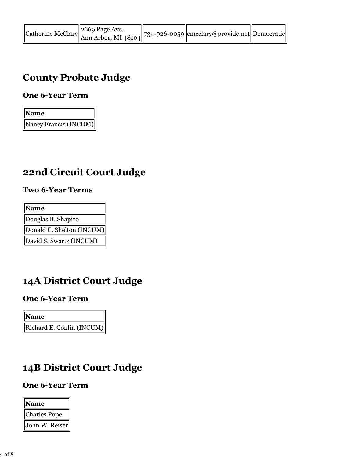|  | Catherine McClary 2669 Page Ave.<br>$\begin{bmatrix} 2669 \text{ Page Ave.} \\ \text{Ann Arbor, MI } 48104 \end{bmatrix}$ 734-926-0059 cmcclary@provide.net Democratic |  |
|--|------------------------------------------------------------------------------------------------------------------------------------------------------------------------|--|
|  |                                                                                                                                                                        |  |

### **County Probate Judge**

### **One 6-Year Term**

| <b>Name</b>           |
|-----------------------|
| Nancy Francis (INCUM) |

### **22nd Circuit Court Judge**

#### **Two 6-Year Terms**

| Name                      |
|---------------------------|
| Douglas B. Shapiro        |
| Donald E. Shelton (INCUM) |
| David S. Swartz (INCUM)   |

### **14A District Court Judge**

#### **One 6-Year Term**

**Name** Richard E. Conlin (INCUM)

### **14B District Court Judge**

| <b>Name</b>         |
|---------------------|
| <b>Charles Pope</b> |
| John W. Reiser      |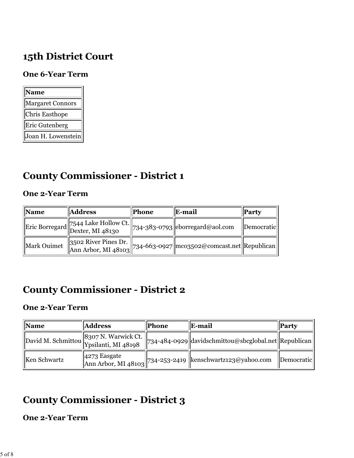### **15th District Court**

#### **One 6-Year Term**

| <b>Name</b>        |
|--------------------|
| Margaret Connors   |
| Chris Easthope     |
| Eric Gutenberg     |
| Joan H. Lowenstein |

### **County Commissioner - District 1**

#### **One 2-Year Term**

| <b>Name</b> | <b>Address</b>                      | <b>Phone</b> | E-mail                                                                                                                                       | Party      |
|-------------|-------------------------------------|--------------|----------------------------------------------------------------------------------------------------------------------------------------------|------------|
|             | Eric Borregard 7544 Lake Hollow Ct. |              | $\ $ 734-383-0793 eborregard@aol.com                                                                                                         | Democratic |
| Mark Ouimet |                                     |              | $\begin{array}{ l l }\n 3502 \text{ River Pines Dr.}\n \text{Ann Arbor, MI } 48103\n\end{array}$ 734-663-0927 mco3502@comcast.net Republican |            |

### **County Commissioner - District 2**

#### **One 2-Year Term**

| <b>Name</b>  | <b>Address</b>                         | Phone | E-mail                                                                    | Party      |
|--------------|----------------------------------------|-------|---------------------------------------------------------------------------|------------|
|              | David M. Schmittou 8307 N. Warwick Ct. |       | 734-484-0929  davidschmittou@sbcglobal.net  Republican                    |            |
| Ken Schwartz |                                        |       | 4273 Easgate<br>Ann Arbor, MI 48103 734-253-2419 kenschwartz123@yahoo.com | Democratic |

### **County Commissioner - District 3**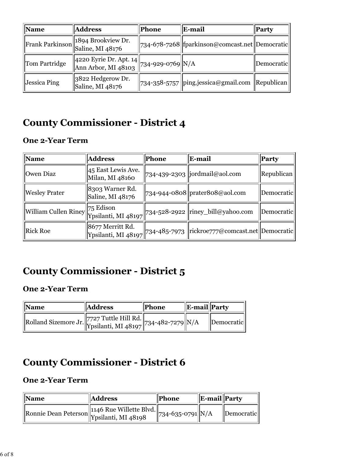| <b>Name</b>         | <b>Address</b>                                                   | <b>Phone</b> | E-mail                                           | <b>Party</b>      |
|---------------------|------------------------------------------------------------------|--------------|--------------------------------------------------|-------------------|
|                     | Frank Parkinson 3894 Brookview Dr.                               |              | 734-678-7268  fparkinson@comcast.net  Democratic |                   |
| Tom Partridge       | 4220 Eyrie Dr. Apt. 14<br>Ann Arbor, MI 48103 734-929-0769 $N/A$ |              |                                                  | Democratic        |
| <b>Jessica Ping</b> | 3822 Hedgerow Dr.<br>Saline, MI 48176                            |              | 734-358-5757 ping.jessica@gmail.com              | <b>Republican</b> |

# **County Commissioner - District 4**

#### **One 2-Year Term**

| <b>Name</b>                    | <b>Address</b>                        | Phone | E-mail                                                               | <b>Party</b> |
|--------------------------------|---------------------------------------|-------|----------------------------------------------------------------------|--------------|
| Owen Diaz                      | 45 East Lewis Ave.<br>Milan, MI 48160 |       | 734-439-2303   jordmail@aol.com                                      | Republican   |
| <b>Wesley Prater</b>           | 8303 Warner Rd.<br>Saline, MI 48176   |       | $ 734-944-0808 $ prater808@aol.com                                   | Democratic   |
| William Cullen Riney 75 Edison |                                       |       | Ypsilanti, MI 48197 734-528-2922 riney_bill@yahoo.com                | Democratic   |
| <b>Rick Roe</b>                | 8677 Merritt Rd.                      |       | Ypsilanti, MI 48197 734-485-7973   rickroe777@comcast.net Democratic |              |

### **County Commissioner - District 5**

### **One 2-Year Term**

| <b>Name</b>                                                | <b>Address</b> | <b>Phone</b> | <b>E-mail</b> Party |                          |
|------------------------------------------------------------|----------------|--------------|---------------------|--------------------------|
| Rolland Sizemore Jr. 7727 Tuttle Hill Rd. 734-482-7279 N/A |                |              |                     | <i><b>Democratic</b></i> |

# **County Commissioner - District 6**

| Name | <b>Address</b>                               | Phone                        | $\ $ E-mail Party |                   |
|------|----------------------------------------------|------------------------------|-------------------|-------------------|
|      | Ronnie Dean Peterson 1146 Rue Willette Blvd. | $\frac{1}{234-635-0791}$ N/A |                   | <i>Democratic</i> |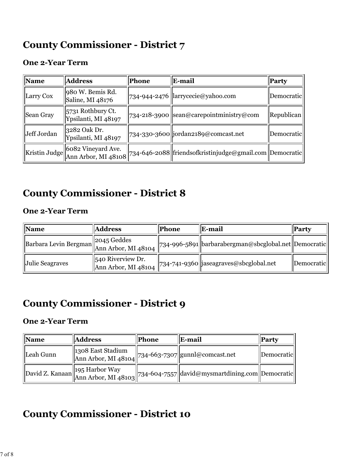### **County Commissioner - District 7**

#### **One 2-Year Term**

| <b>Name</b>   | <b>Address</b>                            | <b>Phone</b> | E-mail                                                  | <b>Party</b>      |
|---------------|-------------------------------------------|--------------|---------------------------------------------------------|-------------------|
| Larry Cox     | 980 W. Bemis Rd.<br>Saline, MI 48176      |              | 734-944-2476  larrycecie@yahoo.com                      | Democratic        |
| Sean Gray     | 5731 Rothbury Ct.<br>Ypsilanti, MI 48197  |              | 734-218-3900 sean@carepointministry@com                 | <b>Republican</b> |
| Jeff Jordan   | 3282 Oak Dr.<br>Ypsilanti, MI 48197       |              | 734-330-3600 jordan2189@comcast.net                     | Democratic        |
| Kristin Judge | 6082 Vineyard Ave.<br>Ann Arbor, MI 48108 |              | 734-646-2088 friendsofkristinjudge@gmail.com Democratic |                   |

### **County Commissioner - District 8**

#### **One 2-Year Term**

| <b>Name</b>                       | <b>Address</b>                           | Phone | E-mail                                                 | Party      |
|-----------------------------------|------------------------------------------|-------|--------------------------------------------------------|------------|
| Barbara Levin Bergman 2045 Geddes |                                          |       | 734-996-5891  barbarabergman@sbcglobal.net  Democratic |            |
| Julie Seagraves                   | 540 Riverview Dr.<br>Ann Arbor, MI 48104 |       | 734-741-9360  jaseagraves@sbcglobal.net                | Democratic |

### **County Commissioner - District 9**

#### **One 2-Year Term**

| <b>Name</b> | <b>Address</b>                                                              | <b>Phone</b> | E-mail                                                                                                                                       | <b>Party</b> |
|-------------|-----------------------------------------------------------------------------|--------------|----------------------------------------------------------------------------------------------------------------------------------------------|--------------|
| Leah Gunn   | 1308 East Stadium<br>  Ann Arbor, MI 48104  734-663-7307  gunnl@comcast.net |              |                                                                                                                                              | Democratic   |
|             |                                                                             |              | $\left\ $ David Z. Kanaan $\left\ $ 195 Harbor Way $\left\ $ 734-604-7557 $\right\ $ david@mysmartdining.com $\left\ $ Democratic $\right\ $ |              |

### **County Commissioner - District 10**